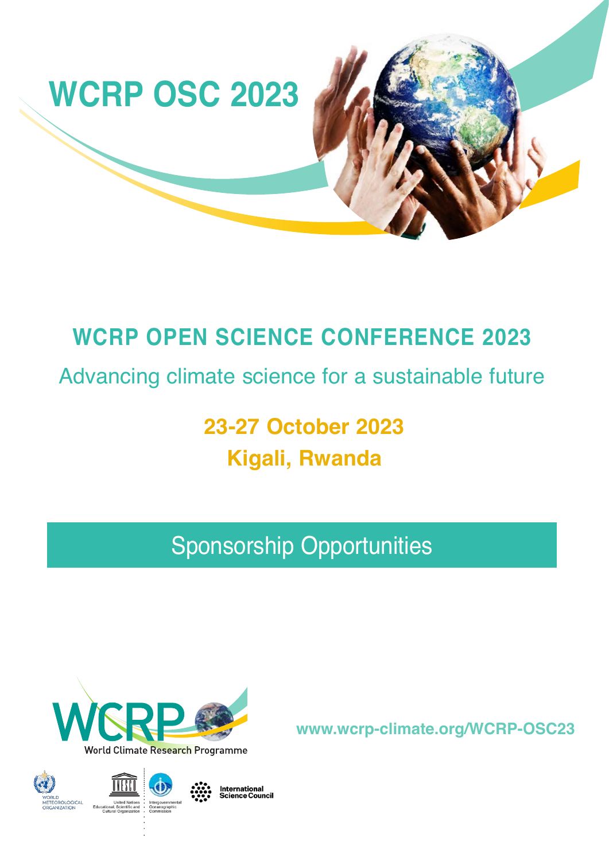

## **WCRP OPEN SCIENCE CONFERENCE 2023**

Advancing climate science for a sustainable future

**23-27 October 2023 Kigali, Rwanda**

# Sponsorship Opportunities



**www.wcrp-climate.org/WCRP-OSC23**



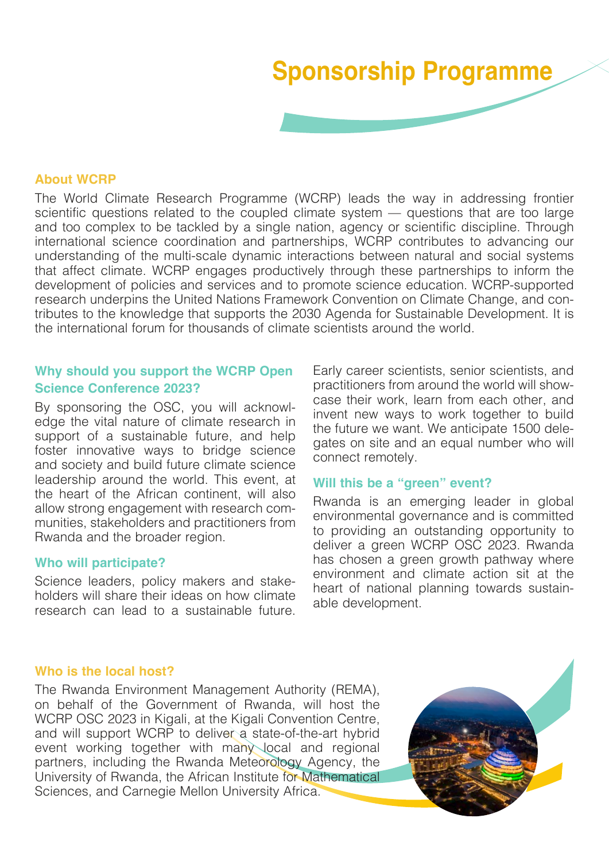# **Sponsorship Programme**

### **About WCRP**

The World Climate Research Programme (WCRP) leads the way in addressing frontier scientific questions related to the coupled climate system — questions that are too large and too complex to be tackled by a single nation, agency or scientific discipline. Through international science coordination and partnerships, WCRP contributes to advancing our understanding of the multi-scale dynamic interactions between natural and social systems that affect climate. WCRP engages productively through these partnerships to inform the development of policies and services and to promote science education. WCRP-supported research underpins the United Nations Framework Convention on Climate Change, and contributes to the knowledge that supports the 2030 Agenda for Sustainable Development. It is the international forum for thousands of climate scientists around the world.

### **Why should you support the WCRP Open Science Conference 2023?**

By sponsoring the OSC, you will acknowledge the vital nature of climate research in support of a sustainable future, and help foster innovative ways to bridge science and society and build future climate science leadership around the world. This event, at the heart of the African continent, will also allow strong engagement with research communities, stakeholders and practitioners from Rwanda and the broader region.

#### **Who will participate?**

Science leaders, policy makers and stakeholders will share their ideas on how climate research can lead to a sustainable future.

Early career scientists, senior scientists, and practitioners from around the world will showcase their work, learn from each other, and invent new ways to work together to build the future we want. We anticipate 1500 delegates on site and an equal number who will connect remotely.

### **Will this be a "green" event?**

Rwanda is an emerging leader in global environmental governance and is committed to providing an outstanding opportunity to deliver a green WCRP OSC 2023. Rwanda has chosen a green growth pathway where environment and climate action sit at the heart of national planning towards sustainable development.

### **Who is the local host?**

The Rwanda Environment Management Authority (REMA), on behalf of the Government of Rwanda, will host the WCRP OSC 2023 in Kigali, at the Kigali Convention Centre, and will support WCRP to deliver a state-of-the-art hybrid event working together with many local and regional partners, including the Rwanda Meteorology Agency, the University of Rwanda, the African Institute for Mathematical Sciences, and Carnegie Mellon University Africa.

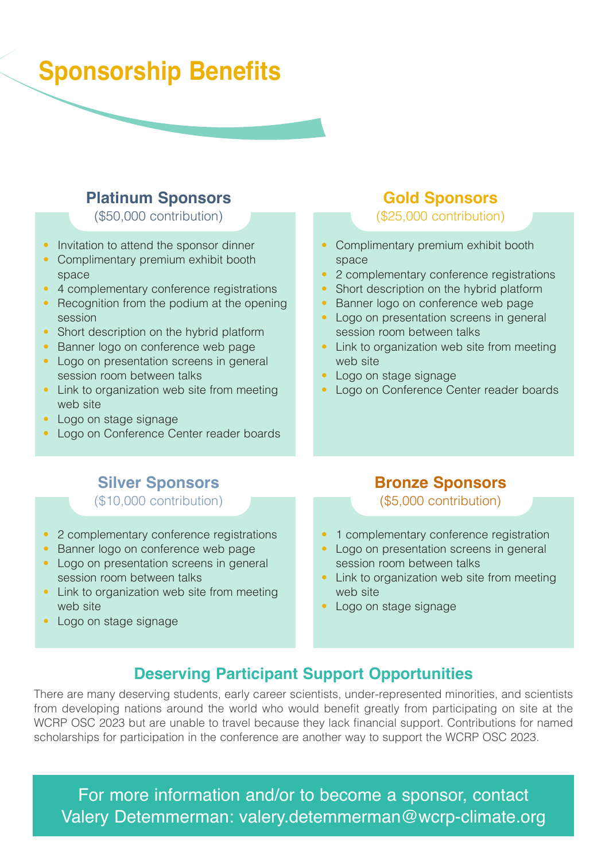## **Sponsorship Benefits**

### **Platinum Sponsors**

(\$50,000 contribution)

- Invitation to attend the sponsor dinner
- Complimentary premium exhibit booth space
- 4 complementary conference registrations
- Recognition from the podium at the opening session
- Short description on the hybrid platform
- Banner logo on conference web page
- Logo on presentation screens in general session room between talks
- Link to organization web site from meeting web site
- Logo on stage signage
- Logo on Conference Center reader boards

## **Gold Sponsors**

(\$25,000 contribution)

- Complimentary premium exhibit booth space
- 2 complementary conference registrations
- Short description on the hybrid platform
- Banner logo on conference web page
- Logo on presentation screens in general session room between talks
- Link to organization web site from meeting web site
- Logo on stage signage
- Logo on Conference Center reader boards

## **Silver Sponsors**

(\$10,000 contribution)

- 2 complementary conference registrations
- Banner logo on conference web page
- Logo on presentation screens in general session room between talks
- Link to organization web site from meeting web site
- Logo on stage signage

### **Bronze Sponsors**

(\$5,000 contribution)

- 1 complementary conference registration
- Logo on presentation screens in general session room between talks
- Link to organization web site from meeting web site
- Logo on stage signage

## **Deserving Participant Support Opportunities**

There are many deserving students, early career scientists, under-represented minorities, and scientists from developing nations around the world who would benefit greatly from participating on site at the WCRP OSC 2023 but are unable to travel because they lack financial support. Contributions for named scholarships for participation in the conference are another way to support the WCRP OSC 2023.

For more information and/or to become a sponsor, contact Valery Detemmerman: valery.detemmerman@wcrp-climate.org